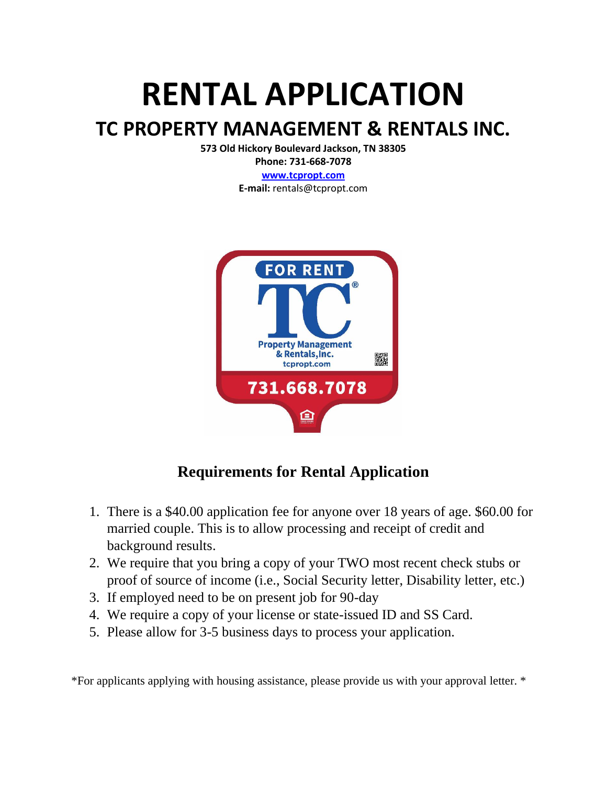# **RENTAL APPLICATION**

## **TC PROPERTY MANAGEMENT & RENTALS INC.**

**573 Old Hickory Boulevard Jackson, TN 38305**

**Phone: 731-668-7078 [www.tcpropt.com](http://www.tcpropt.com/)**

**E-mail:** rentals@tcpropt.com



## **Requirements for Rental Application**

- 1. There is a \$40.00 application fee for anyone over 18 years of age. \$60.00 for married couple. This is to allow processing and receipt of credit and background results.
- 2. We require that you bring a copy of your TWO most recent check stubs or proof of source of income (i.e., Social Security letter, Disability letter, etc.)
- 3. If employed need to be on present job for 90-day
- 4. We require a copy of your license or state-issued ID and SS Card.
- 5. Please allow for 3-5 business days to process your application.

\*For applicants applying with housing assistance, please provide us with your approval letter. \*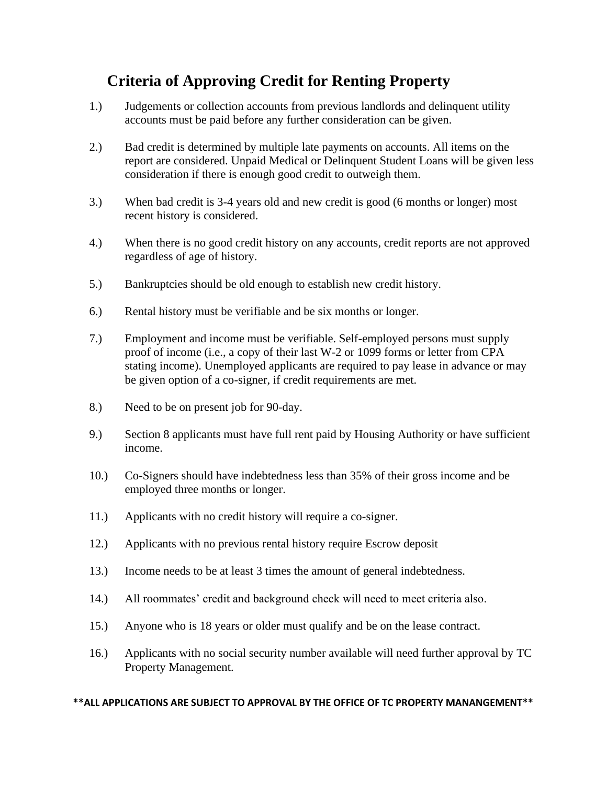### **Criteria of Approving Credit for Renting Property**

- 1.) Judgements or collection accounts from previous landlords and delinquent utility accounts must be paid before any further consideration can be given.
- 2.) Bad credit is determined by multiple late payments on accounts. All items on the report are considered. Unpaid Medical or Delinquent Student Loans will be given less consideration if there is enough good credit to outweigh them.
- 3.) When bad credit is 3-4 years old and new credit is good (6 months or longer) most recent history is considered.
- 4.) When there is no good credit history on any accounts, credit reports are not approved regardless of age of history.
- 5.) Bankruptcies should be old enough to establish new credit history.
- 6.) Rental history must be verifiable and be six months or longer.
- 7.) Employment and income must be verifiable. Self-employed persons must supply proof of income (i.e., a copy of their last W-2 or 1099 forms or letter from CPA stating income). Unemployed applicants are required to pay lease in advance or may be given option of a co-signer, if credit requirements are met.
- 8.) Need to be on present job for 90-day.
- 9.) Section 8 applicants must have full rent paid by Housing Authority or have sufficient income.
- 10.) Co-Signers should have indebtedness less than 35% of their gross income and be employed three months or longer.
- 11.) Applicants with no credit history will require a co-signer.
- 12.) Applicants with no previous rental history require Escrow deposit
- 13.) Income needs to be at least 3 times the amount of general indebtedness.
- 14.) All roommates' credit and background check will need to meet criteria also.
- 15.) Anyone who is 18 years or older must qualify and be on the lease contract.
- 16.) Applicants with no social security number available will need further approval by TC Property Management.

#### **\*\*ALL APPLICATIONS ARE SUBJECT TO APPROVAL BY THE OFFICE OF TC PROPERTY MANANGEMENT\*\***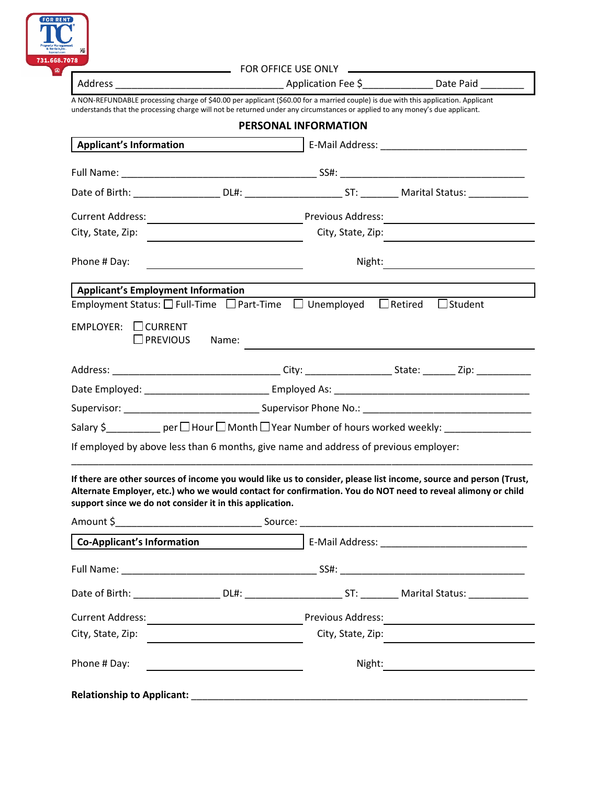

|                                                                                                                                                                                                                                                                    | FOR OFFICE USE ONLY |                      |                                                                                                                                                                                                                                  |
|--------------------------------------------------------------------------------------------------------------------------------------------------------------------------------------------------------------------------------------------------------------------|---------------------|----------------------|----------------------------------------------------------------------------------------------------------------------------------------------------------------------------------------------------------------------------------|
|                                                                                                                                                                                                                                                                    |                     |                      |                                                                                                                                                                                                                                  |
| A NON-REFUNDABLE processing charge of \$40.00 per applicant (\$60.00 for a married couple) is due with this application. Applicant<br>understands that the processing charge will not be returned under any circumstances or applied to any money's due applicant. |                     |                      |                                                                                                                                                                                                                                  |
|                                                                                                                                                                                                                                                                    |                     | PERSONAL INFORMATION |                                                                                                                                                                                                                                  |
| <b>Applicant's Information</b>                                                                                                                                                                                                                                     |                     |                      |                                                                                                                                                                                                                                  |
|                                                                                                                                                                                                                                                                    |                     |                      |                                                                                                                                                                                                                                  |
|                                                                                                                                                                                                                                                                    |                     |                      |                                                                                                                                                                                                                                  |
|                                                                                                                                                                                                                                                                    |                     |                      |                                                                                                                                                                                                                                  |
|                                                                                                                                                                                                                                                                    |                     | City, State, Zip:    |                                                                                                                                                                                                                                  |
| Phone # Day:                                                                                                                                                                                                                                                       |                     |                      |                                                                                                                                                                                                                                  |
| <b>Applicant's Employment Information</b>                                                                                                                                                                                                                          |                     |                      |                                                                                                                                                                                                                                  |
| Employment Status: $\square$ Full-Time $\;\square$ Part-Time $\;\square$ Unemployed $\;\square$ Retired                                                                                                                                                            |                     |                      | $\Box$ Student                                                                                                                                                                                                                   |
| $EMPLOYER: \Box CURRENT$<br>$\Box$ PREVIOUS                                                                                                                                                                                                                        | Name:               |                      |                                                                                                                                                                                                                                  |
|                                                                                                                                                                                                                                                                    |                     |                      |                                                                                                                                                                                                                                  |
|                                                                                                                                                                                                                                                                    |                     |                      |                                                                                                                                                                                                                                  |
|                                                                                                                                                                                                                                                                    |                     |                      |                                                                                                                                                                                                                                  |
|                                                                                                                                                                                                                                                                    |                     |                      | Salary \$____________ per□ Hour□ Month□ Year Number of hours worked weekly: ________________________                                                                                                                             |
| If employed by above less than 6 months, give name and address of previous employer:                                                                                                                                                                               |                     |                      |                                                                                                                                                                                                                                  |
| support since we do not consider it in this application.                                                                                                                                                                                                           |                     |                      | If there are other sources of income you would like us to consider, please list income, source and person (Trust,<br>Alternate Employer, etc.) who we would contact for confirmation. You do NOT need to reveal alimony or child |
|                                                                                                                                                                                                                                                                    |                     |                      |                                                                                                                                                                                                                                  |
| Co-Applicant's Information                                                                                                                                                                                                                                         |                     |                      |                                                                                                                                                                                                                                  |
|                                                                                                                                                                                                                                                                    |                     |                      |                                                                                                                                                                                                                                  |
|                                                                                                                                                                                                                                                                    |                     |                      |                                                                                                                                                                                                                                  |
|                                                                                                                                                                                                                                                                    |                     |                      |                                                                                                                                                                                                                                  |
| City, State, Zip: National City, State, Zip:                                                                                                                                                                                                                       |                     |                      | City, State, Zip:                                                                                                                                                                                                                |
| Phone #Day:                                                                                                                                                                                                                                                        |                     |                      |                                                                                                                                                                                                                                  |
|                                                                                                                                                                                                                                                                    |                     |                      |                                                                                                                                                                                                                                  |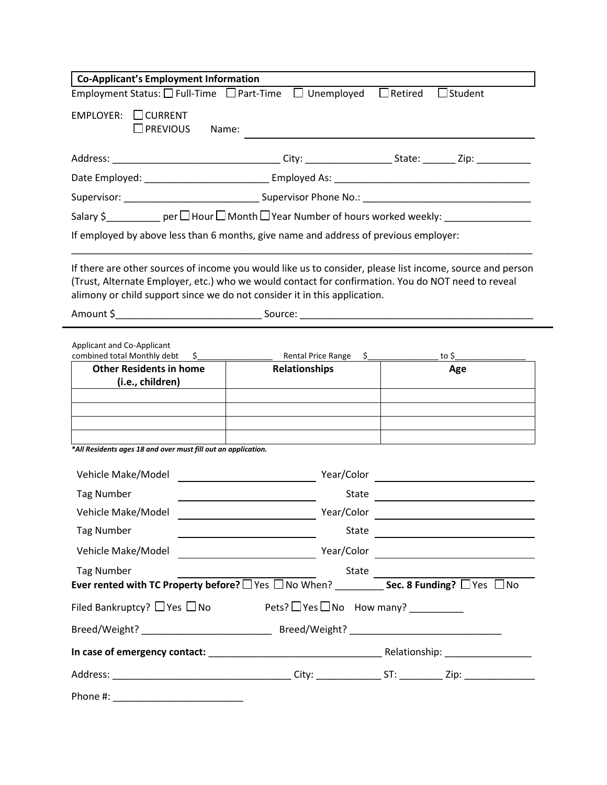| <b>Co-Applicant's Employment Information</b>                                                                                                                                    |                                                   |                                                                                                                              |  |
|---------------------------------------------------------------------------------------------------------------------------------------------------------------------------------|---------------------------------------------------|------------------------------------------------------------------------------------------------------------------------------|--|
| Employment Status: $\Box$ Full-Time $\Box$ Part-Time $\Box$ Unemployed                                                                                                          |                                                   | $\Box$ Retired<br>$\Box$ Student                                                                                             |  |
| $EMPLOYER: \Box CURRENT$<br>$\square$ PREVIOUS<br>Name:                                                                                                                         |                                                   |                                                                                                                              |  |
|                                                                                                                                                                                 |                                                   |                                                                                                                              |  |
|                                                                                                                                                                                 |                                                   |                                                                                                                              |  |
|                                                                                                                                                                                 |                                                   |                                                                                                                              |  |
|                                                                                                                                                                                 |                                                   | Salary $\zeta$ ____________ per $\Box$ Hour $\Box$ Month $\Box$ Year Number of hours worked weekly: ________________________ |  |
| If employed by above less than 6 months, give name and address of previous employer:                                                                                            |                                                   |                                                                                                                              |  |
| (Trust, Alternate Employer, etc.) who we would contact for confirmation. You do NOT need to reveal<br>alimony or child support since we do not consider it in this application. |                                                   | If there are other sources of income you would like us to consider, please list income, source and person                    |  |
|                                                                                                                                                                                 |                                                   |                                                                                                                              |  |
| <b>Applicant and Co-Applicant</b><br>combined total Monthly debt<br><b>Other Residents in home</b><br>(i.e., children)                                                          | $\frac{1}{2}$<br><b>Relationships</b>             | Rental Price Range \$__________________ to \$____<br>Age                                                                     |  |
| *All Residents ages 18 and over must fill out an application.                                                                                                                   |                                                   |                                                                                                                              |  |
|                                                                                                                                                                                 |                                                   |                                                                                                                              |  |
| Vehicle Make/Model                                                                                                                                                              | Year/Color                                        |                                                                                                                              |  |
| <b>Tag Number</b>                                                                                                                                                               | <b>State</b>                                      |                                                                                                                              |  |
| Vehicle Make/Model                                                                                                                                                              | Year/Color                                        | <u> 1989 - Johann Barn, amerikansk politiker (d. 1989)</u>                                                                   |  |
| <b>Tag Number</b>                                                                                                                                                               |                                                   |                                                                                                                              |  |
| Vehicle Make/Model                                                                                                                                                              |                                                   |                                                                                                                              |  |
| <b>Tag Number</b>                                                                                                                                                               | State                                             |                                                                                                                              |  |
| Filed Bankruptcy? □ Yes □ No                                                                                                                                                    | $Pets?$ $\Box$ Yes $\Box$ No How many? __________ |                                                                                                                              |  |
|                                                                                                                                                                                 |                                                   |                                                                                                                              |  |
|                                                                                                                                                                                 |                                                   |                                                                                                                              |  |
|                                                                                                                                                                                 |                                                   |                                                                                                                              |  |
|                                                                                                                                                                                 |                                                   |                                                                                                                              |  |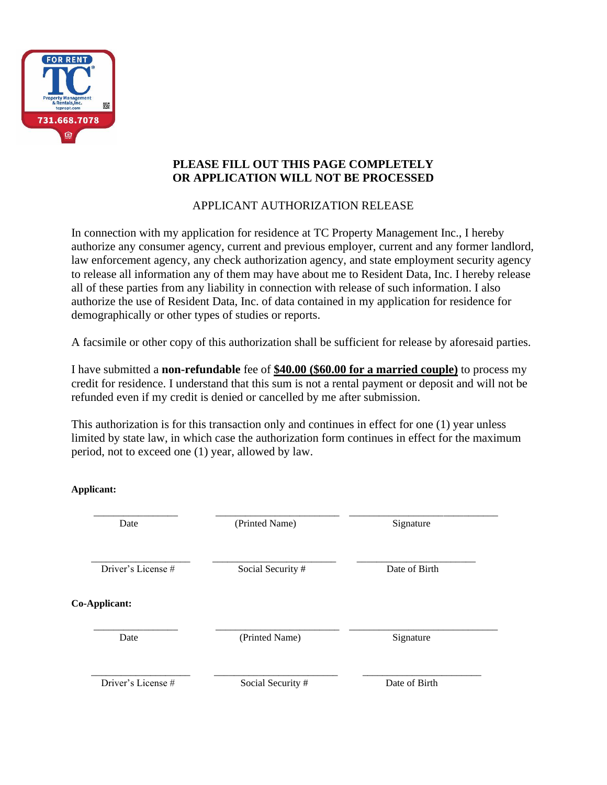

#### **PLEASE FILL OUT THIS PAGE COMPLETELY OR APPLICATION WILL NOT BE PROCESSED**

#### APPLICANT AUTHORIZATION RELEASE

In connection with my application for residence at TC Property Management Inc., I hereby authorize any consumer agency, current and previous employer, current and any former landlord, law enforcement agency, any check authorization agency, and state employment security agency to release all information any of them may have about me to Resident Data, Inc. I hereby release all of these parties from any liability in connection with release of such information. I also authorize the use of Resident Data, Inc. of data contained in my application for residence for demographically or other types of studies or reports.

A facsimile or other copy of this authorization shall be sufficient for release by aforesaid parties.

I have submitted a **non-refundable** fee of **\$40.00 (\$60.00 for a married couple)** to process my credit for residence. I understand that this sum is not a rental payment or deposit and will not be refunded even if my credit is denied or cancelled by me after submission.

This authorization is for this transaction only and continues in effect for one (1) year unless limited by state law, in which case the authorization form continues in effect for the maximum period, not to exceed one (1) year, allowed by law.

**Applicant:**

| Date               | (Printed Name)    | Signature     |
|--------------------|-------------------|---------------|
| Driver's License # | Social Security # | Date of Birth |
| Co-Applicant:      |                   |               |
| Date               | (Printed Name)    | Signature     |
| Driver's License # | Social Security # | Date of Birth |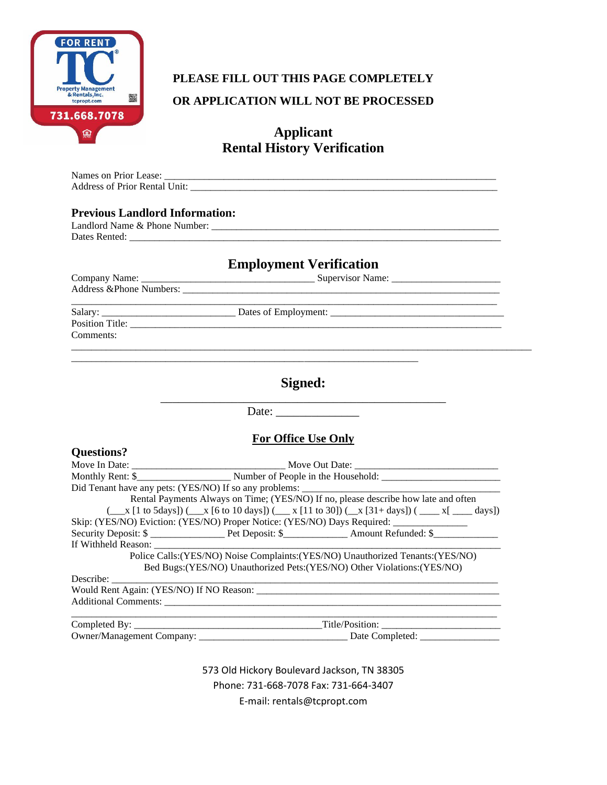

## **PLEASE FILL OUT THIS PAGE COMPLETELY OR APPLICATION WILL NOT BE PROCESSED**

#### **Applicant Rental History Verification**

| <b>Previous Landlord Information:</b> | Address of Prior Rental Unit:                                                                                                                                                                                                                             |
|---------------------------------------|-----------------------------------------------------------------------------------------------------------------------------------------------------------------------------------------------------------------------------------------------------------|
|                                       | <b>Employment Verification</b>                                                                                                                                                                                                                            |
|                                       |                                                                                                                                                                                                                                                           |
| Comments:                             |                                                                                                                                                                                                                                                           |
|                                       | Signed:                                                                                                                                                                                                                                                   |
|                                       |                                                                                                                                                                                                                                                           |
|                                       | <b>For Office Use Only</b>                                                                                                                                                                                                                                |
| <b>Questions?</b>                     |                                                                                                                                                                                                                                                           |
|                                       |                                                                                                                                                                                                                                                           |
|                                       |                                                                                                                                                                                                                                                           |
|                                       |                                                                                                                                                                                                                                                           |
|                                       | Rental Payments Always on Time; (YES/NO) If no, please describe how late and often<br>$(\_\_ x [1 \text{ to 5days}])$ $(\_\_ x [6 \text{ to 10 days}])$ $(\_\_ x [11 \text{ to 30}])$ $(\_\_ x [31 + \text{days}])$ $(\_\_ x [\_\_ x [31 + \text{days}])$ |
|                                       | Skip: (YES/NO) Eviction: (YES/NO) Proper Notice: (YES/NO) Days Required: ______________                                                                                                                                                                   |
|                                       |                                                                                                                                                                                                                                                           |
| If Withheld Reason: ______            |                                                                                                                                                                                                                                                           |
|                                       | Police Calls:(YES/NO) Noise Complaints:(YES/NO) Unauthorized Tenants:(YES/NO)                                                                                                                                                                             |
|                                       | Bed Bugs: (YES/NO) Unauthorized Pets: (YES/NO) Other Violations: (YES/NO)                                                                                                                                                                                 |
| Describe:                             |                                                                                                                                                                                                                                                           |
|                                       |                                                                                                                                                                                                                                                           |
|                                       |                                                                                                                                                                                                                                                           |
|                                       |                                                                                                                                                                                                                                                           |
|                                       |                                                                                                                                                                                                                                                           |

573 Old Hickory Boulevard Jackson, TN 38305 Phone: 731-668-7078 Fax: 731-664-3407 E-mail: rentals@tcpropt.com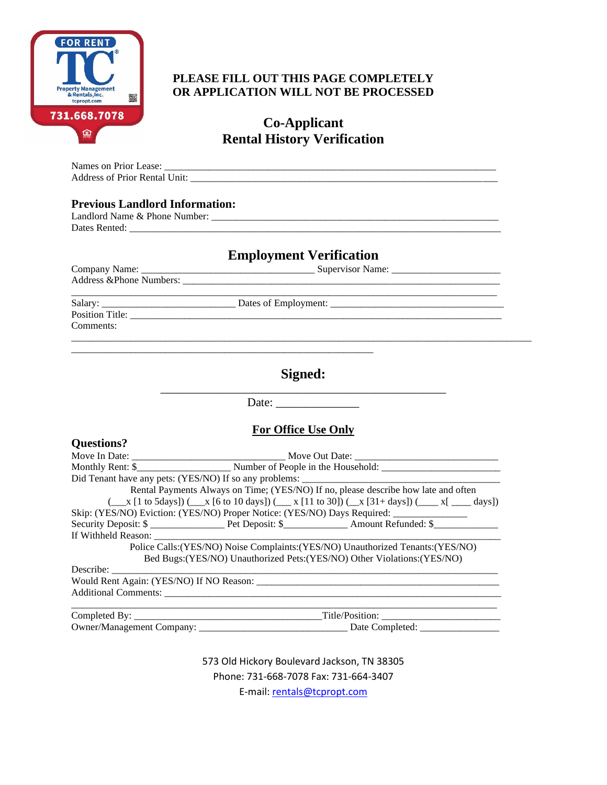

#### **PLEASE FILL OUT THIS PAGE COMPLETELY OR APPLICATION WILL NOT BE PROCESSED**

**Co-Applicant Rental History Verification**

Names on Prior Lease: \_\_\_\_\_\_\_\_\_\_\_\_\_\_\_\_\_\_\_\_\_\_\_\_\_\_\_\_\_\_\_\_\_\_\_\_\_\_\_\_\_\_\_\_\_\_\_\_\_\_\_\_\_\_\_\_\_\_\_\_\_\_\_\_\_\_\_ Address of Prior Rental Unit:

#### **Previous Landlord Information:**

| $\sim$<br>$.$ or<br>$\sim$ 44 $\prime$<br>$-24.$<br>0.1220<br>hone<br>me<br>^'<br>нег<br>∼<br>$\sim$ | _________<br>_________<br>________ |
|------------------------------------------------------------------------------------------------------|------------------------------------|
| Dates                                                                                                |                                    |

#### **Employment Verification**

Company Name: \_\_\_\_\_\_\_\_\_\_\_\_\_\_\_\_\_\_\_\_\_\_\_\_\_\_\_\_\_\_\_\_\_\_\_ Supervisor Name: \_\_\_\_\_\_\_\_\_\_\_\_\_\_\_\_\_\_\_\_\_\_ Address &Phone Numbers: \_\_\_\_\_\_\_\_\_\_\_\_\_\_\_\_\_\_\_\_\_\_\_\_\_\_\_\_\_\_\_\_\_\_\_\_\_\_\_\_\_\_\_\_\_\_\_\_\_\_\_\_\_\_\_\_\_\_\_\_\_\_\_\_ \_\_\_\_\_\_\_\_\_\_\_\_\_\_\_\_\_\_\_\_\_\_\_\_\_\_\_\_\_\_\_\_\_\_\_\_\_\_\_\_\_\_\_\_\_\_\_\_\_\_\_\_\_\_\_\_\_\_\_\_\_\_\_\_\_\_\_\_\_\_\_\_\_\_\_\_\_\_\_\_\_\_\_\_\_\_

Position Title: \_\_\_\_\_\_\_\_\_\_\_\_\_\_\_\_\_\_\_\_\_\_\_\_\_\_\_\_\_\_\_\_\_\_\_\_\_\_\_\_\_\_\_\_\_\_\_\_\_\_\_\_\_\_\_\_\_\_\_\_\_\_\_\_\_\_\_\_\_\_\_\_\_\_\_ Comments:

Salary: \_\_\_\_\_\_\_\_\_\_\_\_\_\_\_\_\_\_\_\_\_\_\_\_\_\_\_ Dates of Employment: \_\_\_\_\_\_\_\_\_\_\_\_\_\_\_\_\_\_\_\_\_\_\_\_\_\_\_\_\_\_\_\_\_\_\_

#### **Signed:** \_\_\_\_\_\_\_\_\_\_\_\_\_\_\_\_\_\_\_\_\_\_\_\_\_\_\_\_\_\_\_\_\_\_\_\_\_\_\_\_\_\_\_\_\_\_\_\_

 $\_$  ,  $\_$  ,  $\_$  ,  $\_$  ,  $\_$  ,  $\_$  ,  $\_$  ,  $\_$  ,  $\_$  ,  $\_$  ,  $\_$  ,  $\_$  ,  $\_$  ,  $\_$  ,  $\_$  ,  $\_$  ,  $\_$  ,  $\_$  ,  $\_$  ,  $\_$  ,  $\_$  ,  $\_$  ,  $\_$  ,  $\_$  ,  $\_$  ,  $\_$  ,  $\_$  ,  $\_$  ,  $\_$  ,  $\_$  ,  $\_$  ,  $\_$  ,  $\_$  ,  $\_$  ,  $\_$  ,  $\_$  ,  $\_$  ,

Date:

#### **For Office Use Only**

| <b>Questions?</b> |                                                                                                                                                     |
|-------------------|-----------------------------------------------------------------------------------------------------------------------------------------------------|
|                   |                                                                                                                                                     |
|                   |                                                                                                                                                     |
|                   |                                                                                                                                                     |
|                   | Rental Payments Always on Time; (YES/NO) If no, please describe how late and often                                                                  |
|                   | $(\_\_ x [1 \text{ to 5 days}]) (\_\_ x [6 \text{ to 10 days}]) (\_\_ x [11 \text{ to 30}]) (\_\_ x [31 + \text{days}]) (\_\_ x [3 - \text{days}])$ |
|                   | Skip: (YES/NO) Eviction: (YES/NO) Proper Notice: (YES/NO) Days Required: ___________________________                                                |
|                   |                                                                                                                                                     |
|                   |                                                                                                                                                     |
|                   | Police Calls: (YES/NO) Noise Complaints: (YES/NO) Unauthorized Tenants: (YES/NO)                                                                    |
|                   | Bed Bugs: (YES/NO) Unauthorized Pets: (YES/NO) Other Violations: (YES/NO)                                                                           |
|                   |                                                                                                                                                     |
|                   |                                                                                                                                                     |
|                   |                                                                                                                                                     |
|                   |                                                                                                                                                     |
|                   |                                                                                                                                                     |

573 Old Hickory Boulevard Jackson, TN 38305 Phone: 731-668-7078 Fax: 731-664-3407 E-mail[: rentals@tcpropt.com](mailto:rentals@tcpropt.com)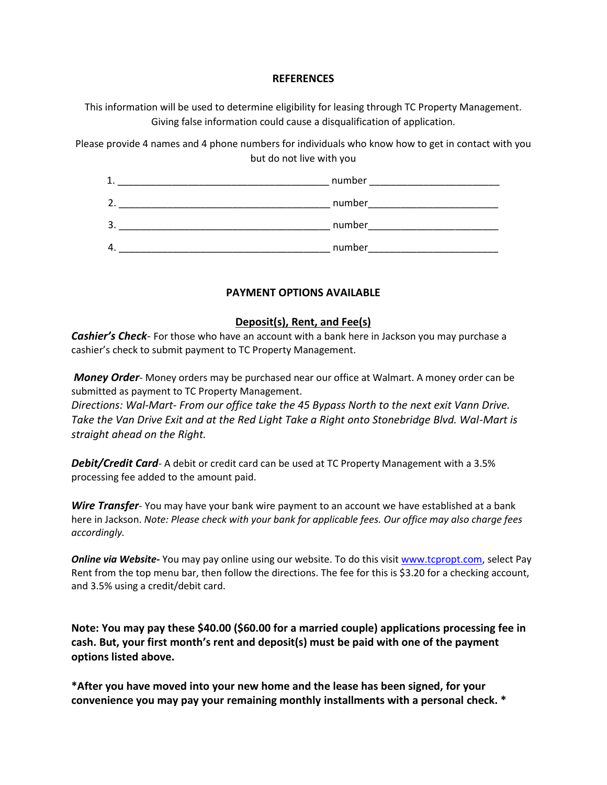#### **REFERENCES**

This information will be used to determine eligibility for leasing through TC Property Management. Giving false information could cause a disqualification of application.

Please provide 4 names and 4 phone numbers for individuals who know how to get in contact with you but do not live with you



#### **PAYMENT OPTIONS AVAILABLE**

#### **Deposit(s), Rent, and Fee(s)**

*Cashier's Check*- For those who have an account with a bank here in Jackson you may purchase a cashier's check to submit payment to TC Property Management.

*Money Order*- Money orders may be purchased near our office at Walmart. A money order can be submitted as payment to TC Property Management.

*Directions: Wal-Mart- From our office take the 45 Bypass North to the next exit Vann Drive. Take the Van Drive Exit and at the Red Light Take a Right onto Stonebridge Blvd. Wal-Mart is straight ahead on the Right.*

*Debit/Credit Card*- A debit or credit card can be used at TC Property Management with a 3.5% processing fee added to the amount paid.

*Wire Transfer*- You may have your bank wire payment to an account we have established at a bank here in Jackson. *Note: Please check with your bank for applicable fees. Our office may also charge fees accordingly.*

*Online via Website-* You may pay online using our website. To do this visit [www.tcpropt.com,](http://www.tcpropt.com/) select Pay Rent from the top menu bar, then follow the directions. The fee for this is \$3.20 for a checking account, and 3.5% using a credit/debit card.

**Note: You may pay these \$40.00 (\$60.00 for a married couple) applications processing fee in cash. But, your first month's rent and deposit(s) must be paid with one of the payment options listed above.**

**\*After you have moved into your new home and the lease has been signed, for your convenience you may pay your remaining monthly installments with a personal check. \***